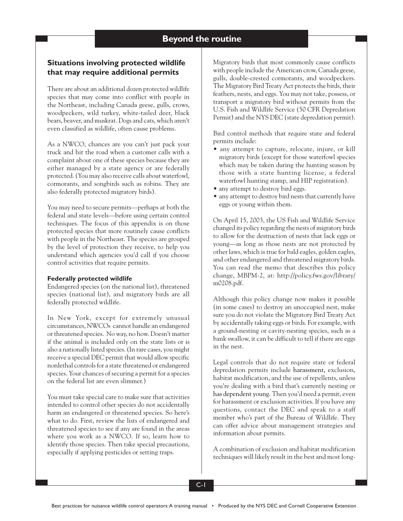# **Situations involving protected wildlife that may require additional permits**

There are about an additional dozen protected wildlife species that may come into conflict with people in the Northeast, including Canada geese, gulls, crows, woodpeckers, wild turkey, white-tailed deer, black bears, beaver, and muskrat. Dogs and cats, which aren't even classified as wildlife, often cause problems.

As a NWCO, chances are you can't just pack your truck and hit the road when a customer calls with a complaint about one of these species because they are either managed by a state agency or are federally protected. (You may also receive calls about waterfowl, cormorants, and songbirds such as robins. They are also federally protected migratory birds).

You may need to secure permits—perhaps at both the federal and state levels—before using certain control techniques. The focus of this appendix is on those protected species that more routinely cause conflicts with people in the Northeast. The species are grouped by the level of protection they receive, to help you understand which agencies you'd call if you choose control activities that require permits.

## **Federally protected wildlife**

Endangered species (on the national list), threatened species (national list), and migratory birds are all federally protected wildlife.

In New York, except for extremely unusual circumstances, NWCOs cannot handle an endangered or threatened species. No way, no how. Doesn't matter if the animal is included only on the state lists or is also a nationally listed species. (In rare cases, you might receive a special DEC permit that would allow specific nonlethal controls for a state threatened or endangered species. Your chances of securing a permit for a species on the federal list are even slimmer.)

You must take special care to make sure that activities intended to control other species do not accidentally harm an endangered or threatened species. So here's what to do. First, review the lists of endangered and threatened species to see if any are found in the areas where you work as a NWCO. If so, learn how to identify those species. Then take special precautions, especially if applying pesticides or setting traps.

Migratory birds that most commonly cause conflicts with people include the American crow, Canada geese, gulls, double-crested cormorants, and woodpeckers. The Migratory Bird Treaty Act protects the birds, their feathers, nests, and eggs. You may not take, possess, or transport a migratory bird without permits from the U.S. Fish and Wildlife Service (50 CFR Depredation Permit) and the NYS DEC (state depredation permit).

Bird control methods that require state and federal permits include:

- any attempt to capture, relocate, injure, or kill migratory birds (except for those waterfowl species which may be taken during the hunting season by those with a state hunting license, a federal waterfowl hunting stamp, and HIP registration).
- any attempt to destroy bird eggs.
- any attempt to destroy bird nests that currently have eggs or young within them.

On April 15, 2003, the US Fish and Wildlife Service changed its policy regarding the nests of migratory birds to allow for the destruction of nests that lack eggs or young—as long as those nests are not protected by other laws, which is true for bald eagles, golden eagles, and other endangered and threatened migratory birds. You can read the memo that describes this policy change, MBPM-2, at: http://policy.fws.gov/library/ m0208.pdf.

Although this policy change now makes it possible (in some cases) to destroy an unoccupied nest, make sure you do not violate the Migratory Bird Treaty Act by accidentally taking eggs or birds. For example, with a ground-nesting or cavity-nesting species, such as a bank swallow, it can be difficult to tell if there are eggs in the nest.

Legal controls that do not require state or federal depredation permits include harassment, exclusion, habitat modification, and the use of repellents, unless you're dealing with a bird that's currently nesting or has dependent young. Then you'd need a permit, even for harassment or exclusion activities. If you have any questions, contact the DEC and speak to a staff member who's part of the Bureau of Wildlife. They can offer advice about management strategies and information about permits.

A combination of exclusion and habitat modification techniques will likely result in the best and most long